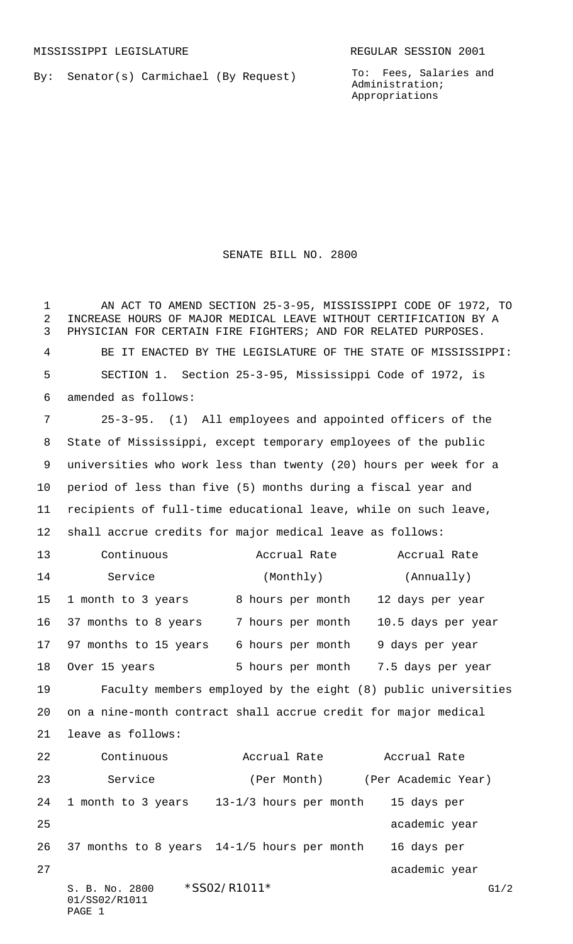By: Senator(s) Carmichael (By Request)

To: Fees, Salaries and Administration; Appropriations

SENATE BILL NO. 2800

S. B. No. 2800 \* SSO2/R1011\* G1/2 01/SS02/R1011 PAGE 1 AN ACT TO AMEND SECTION 25-3-95, MISSISSIPPI CODE OF 1972, TO INCREASE HOURS OF MAJOR MEDICAL LEAVE WITHOUT CERTIFICATION BY A PHYSICIAN FOR CERTAIN FIRE FIGHTERS; AND FOR RELATED PURPOSES. BE IT ENACTED BY THE LEGISLATURE OF THE STATE OF MISSISSIPPI: SECTION 1. Section 25-3-95, Mississippi Code of 1972, is amended as follows: 25-3-95. (1) All employees and appointed officers of the State of Mississippi, except temporary employees of the public universities who work less than twenty (20) hours per week for a period of less than five (5) months during a fiscal year and recipients of full-time educational leave, while on such leave, shall accrue credits for major medical leave as follows: Continuous Accrual Rate Accrual Rate 14 Service (Monthly) (Annually) 15 1 month to 3 years 8 hours per month 12 days per year 37 months to 8 years 7 hours per month 10.5 days per year 97 months to 15 years 6 hours per month 9 days per year 18 Over 15 years 5 hours per month 7.5 days per year Faculty members employed by the eight (8) public universities on a nine-month contract shall accrue credit for major medical leave as follows: Continuous Accrual Rate Accrual Rate 23 Service (Per Month) (Per Academic Year) 1 month to 3 years 13-1/3 hours per month 15 days per 25 academic year and the contract of the contract of the contract of the contract of the contract of the contract of the contract of the contract of the contract of the contract of the contract of the contract of the contr 37 months to 8 years 14-1/5 hours per month 16 days per 27 academic year and the contract of the contract of the contract of the contract of the contract of the contract of the contract of the contract of the contract of the contract of the contract of the contract of the contr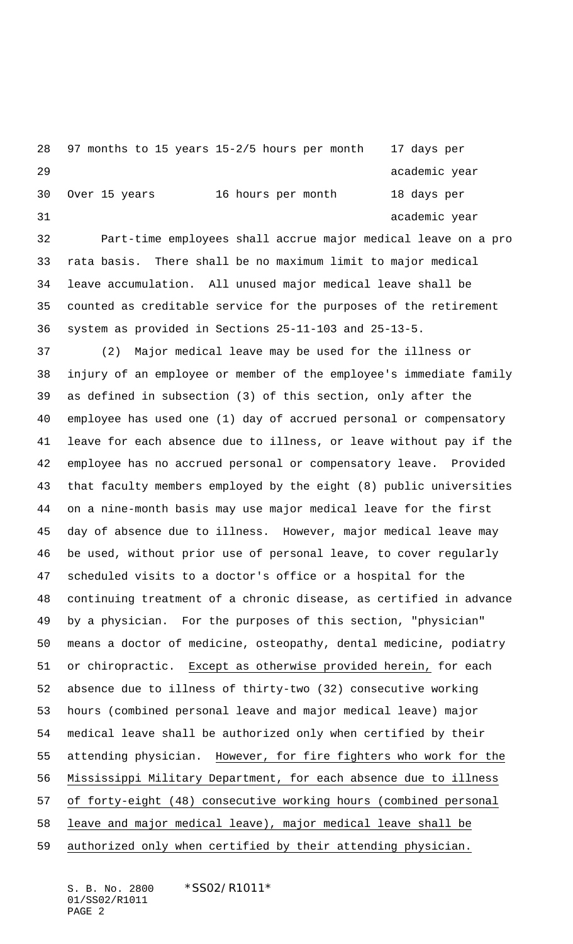```
28 97 months to 15 years 15-2/5 hours per month 17 days per
29 academic year
30 Over 15 years 16 hours per month 18 days per
31 academic year and the state of the state of the state and the state of the state of the state of the state of the state of the state of the state of the state of the state of the state of the state of the state of the s
```
 Part-time employees shall accrue major medical leave on a pro rata basis. There shall be no maximum limit to major medical leave accumulation. All unused major medical leave shall be counted as creditable service for the purposes of the retirement system as provided in Sections 25-11-103 and 25-13-5.

 (2) Major medical leave may be used for the illness or injury of an employee or member of the employee's immediate family as defined in subsection (3) of this section, only after the employee has used one (1) day of accrued personal or compensatory leave for each absence due to illness, or leave without pay if the employee has no accrued personal or compensatory leave. Provided that faculty members employed by the eight (8) public universities on a nine-month basis may use major medical leave for the first day of absence due to illness. However, major medical leave may be used, without prior use of personal leave, to cover regularly scheduled visits to a doctor's office or a hospital for the continuing treatment of a chronic disease, as certified in advance by a physician. For the purposes of this section, "physician" means a doctor of medicine, osteopathy, dental medicine, podiatry or chiropractic. Except as otherwise provided herein, for each absence due to illness of thirty-two (32) consecutive working hours (combined personal leave and major medical leave) major medical leave shall be authorized only when certified by their attending physician. However, for fire fighters who work for the Mississippi Military Department, for each absence due to illness of forty-eight (48) consecutive working hours (combined personal leave and major medical leave), major medical leave shall be authorized only when certified by their attending physician.

S. B. No. 2800 \*SS02/R1011\* 01/SS02/R1011 PAGE 2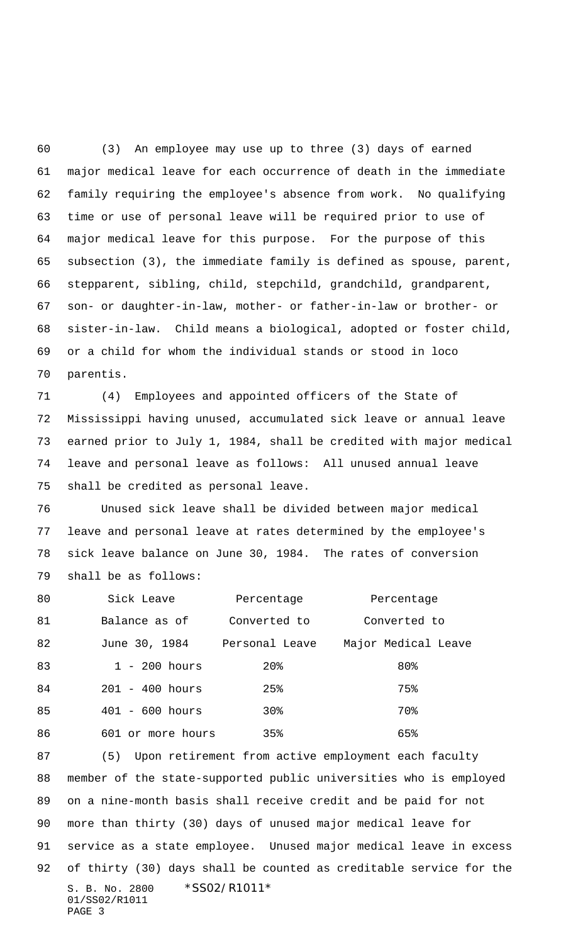(3) An employee may use up to three (3) days of earned major medical leave for each occurrence of death in the immediate family requiring the employee's absence from work. No qualifying time or use of personal leave will be required prior to use of major medical leave for this purpose. For the purpose of this subsection (3), the immediate family is defined as spouse, parent, stepparent, sibling, child, stepchild, grandchild, grandparent, son- or daughter-in-law, mother- or father-in-law or brother- or sister-in-law. Child means a biological, adopted or foster child, or a child for whom the individual stands or stood in loco parentis.

 (4) Employees and appointed officers of the State of Mississippi having unused, accumulated sick leave or annual leave earned prior to July 1, 1984, shall be credited with major medical leave and personal leave as follows: All unused annual leave shall be credited as personal leave.

 Unused sick leave shall be divided between major medical leave and personal leave at rates determined by the employee's sick leave balance on June 30, 1984. The rates of conversion shall be as follows:

| 80 | Sick Leave        | Percentage     | Percentage          |
|----|-------------------|----------------|---------------------|
| 81 | Balance as of     | Converted to   | Converted to        |
| 82 | June 30, 1984     | Personal Leave | Major Medical Leave |
| 83 | $1 - 200$ hours   | 20%            | 80%                 |
| 84 | $201 - 400$ hours | 25%            | 75%                 |
| 85 | $401 - 600 hours$ | 30%            | 70%                 |
| 86 | 601 or more hours | 35%            | 65%                 |

S. B. No. 2800 \*SS02/R1011\* 01/SS02/R1011 PAGE 3 (5) Upon retirement from active employment each faculty member of the state-supported public universities who is employed on a nine-month basis shall receive credit and be paid for not more than thirty (30) days of unused major medical leave for service as a state employee. Unused major medical leave in excess of thirty (30) days shall be counted as creditable service for the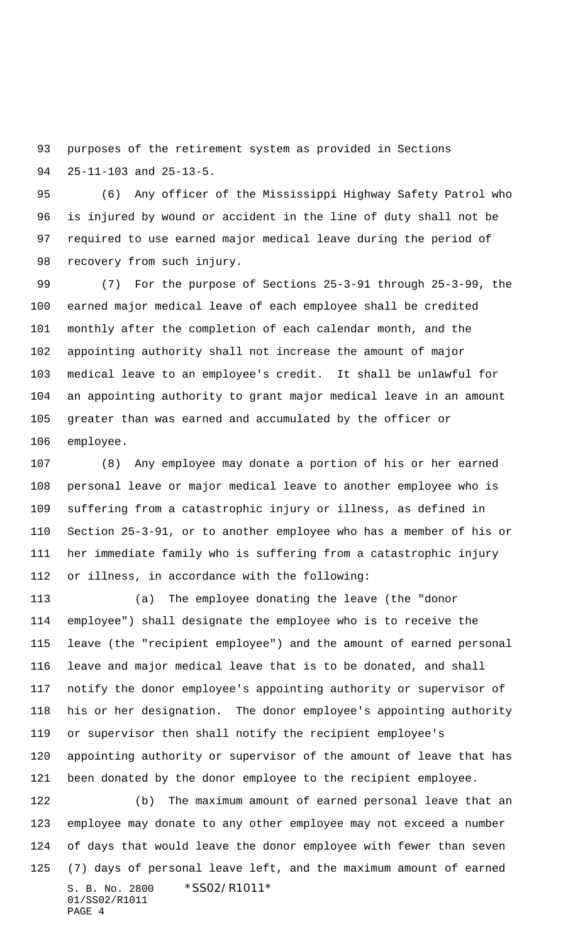purposes of the retirement system as provided in Sections 25-11-103 and 25-13-5.

 (6) Any officer of the Mississippi Highway Safety Patrol who is injured by wound or accident in the line of duty shall not be required to use earned major medical leave during the period of recovery from such injury.

 (7) For the purpose of Sections 25-3-91 through 25-3-99, the earned major medical leave of each employee shall be credited monthly after the completion of each calendar month, and the appointing authority shall not increase the amount of major medical leave to an employee's credit. It shall be unlawful for an appointing authority to grant major medical leave in an amount greater than was earned and accumulated by the officer or employee.

 (8) Any employee may donate a portion of his or her earned personal leave or major medical leave to another employee who is suffering from a catastrophic injury or illness, as defined in Section 25-3-91, or to another employee who has a member of his or her immediate family who is suffering from a catastrophic injury or illness, in accordance with the following:

 (a) The employee donating the leave (the "donor employee") shall designate the employee who is to receive the leave (the "recipient employee") and the amount of earned personal leave and major medical leave that is to be donated, and shall notify the donor employee's appointing authority or supervisor of his or her designation. The donor employee's appointing authority or supervisor then shall notify the recipient employee's appointing authority or supervisor of the amount of leave that has been donated by the donor employee to the recipient employee.

S. B. No. 2800 \*SS02/R1011\* 01/SS02/R1011 PAGE 4 (b) The maximum amount of earned personal leave that an employee may donate to any other employee may not exceed a number of days that would leave the donor employee with fewer than seven (7) days of personal leave left, and the maximum amount of earned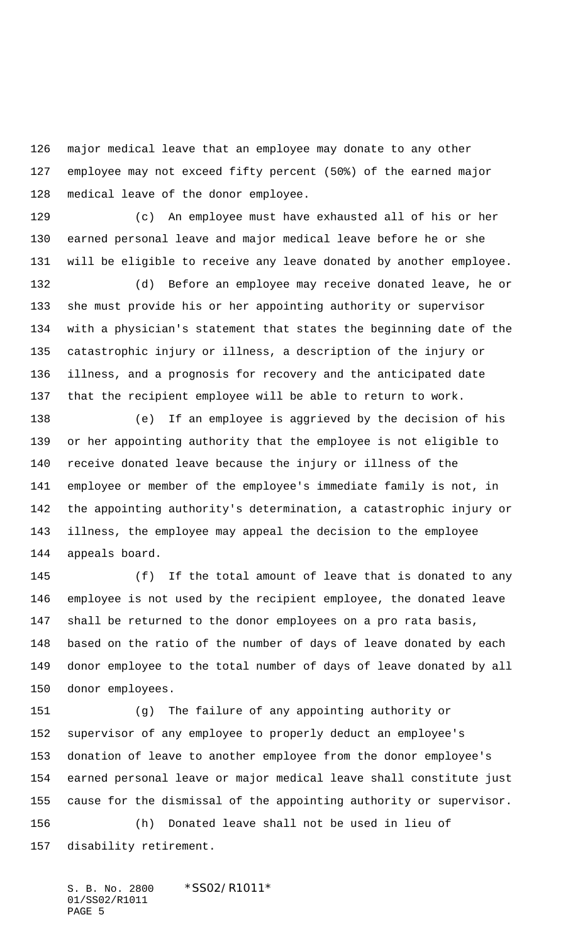major medical leave that an employee may donate to any other employee may not exceed fifty percent (50%) of the earned major medical leave of the donor employee.

 (c) An employee must have exhausted all of his or her earned personal leave and major medical leave before he or she will be eligible to receive any leave donated by another employee.

 (d) Before an employee may receive donated leave, he or she must provide his or her appointing authority or supervisor with a physician's statement that states the beginning date of the catastrophic injury or illness, a description of the injury or illness, and a prognosis for recovery and the anticipated date that the recipient employee will be able to return to work.

 (e) If an employee is aggrieved by the decision of his or her appointing authority that the employee is not eligible to receive donated leave because the injury or illness of the employee or member of the employee's immediate family is not, in the appointing authority's determination, a catastrophic injury or illness, the employee may appeal the decision to the employee appeals board.

 (f) If the total amount of leave that is donated to any employee is not used by the recipient employee, the donated leave shall be returned to the donor employees on a pro rata basis, based on the ratio of the number of days of leave donated by each donor employee to the total number of days of leave donated by all donor employees.

 (g) The failure of any appointing authority or supervisor of any employee to properly deduct an employee's donation of leave to another employee from the donor employee's earned personal leave or major medical leave shall constitute just cause for the dismissal of the appointing authority or supervisor. (h) Donated leave shall not be used in lieu of disability retirement.

S. B. No. 2800 \*SS02/R1011\* 01/SS02/R1011 PAGE 5